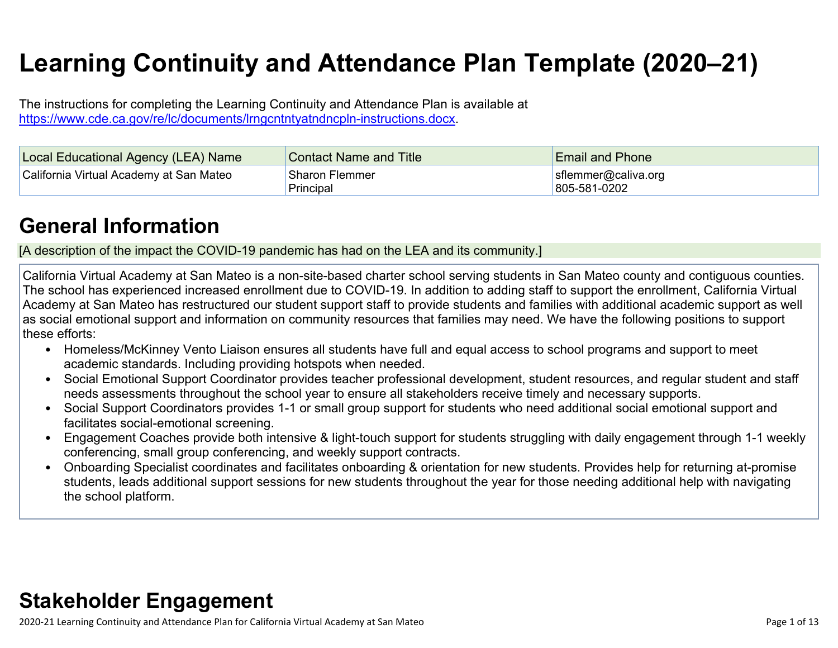# **Learning Continuity and Attendance Plan Template (2020–21)**

The instructions for completing the Learning Continuity and Attendance Plan is available at <https://www.cde.ca.gov/re/lc/documents/lrngcntntyatndncpln-instructions.docx>.

| Local Educational Agency (LEA) Name     | <b>Contact Name and Title</b>      | <b>Email and Phone</b>              |
|-----------------------------------------|------------------------------------|-------------------------------------|
| California Virtual Academy at San Mateo | <b>Sharon Flemmer</b><br>Principal | sflemmer@caliva.org<br>805-581-0202 |

## **General [Information](http://www.doc-tracking.com/screenshots/20LCP/Instructions/20LCPInstructions.htm#generalinformation)**

[A description of the impact the COVID-19 pandemic has had on the LEA and its community.]

California Virtual Academy at San Mateo is a non-site-based charter school serving students in San Mateo county and contiguous counties. The school has experienced increased enrollment due to COVID-19. In addition to adding staff to support the enrollment, California Virtual Academy at San Mateo has restructured our student support staff to provide students and families with additional academic support as well as social emotional support and information on community resources that families may need. We have the following positions to support these efforts:

- Homeless/McKinney Vento Liaison ensures all students have full and equal access to school programs and support to meet academic standards. Including providing hotspots when needed.
- Social Emotional Support Coordinator provides teacher professional development, student resources, and regular student and staff needs assessments throughout the school year to ensure all stakeholders receive timely and necessary supports.
- Social Support Coordinators provides 1-1 or small group support for students who need additional social emotional support and facilitates social-emotional screening.
- Engagement Coaches provide both intensive & light-touch support for students struggling with daily engagement through 1-1 weekly conferencing, small group conferencing, and weekly support contracts.
- Onboarding Specialist coordinates and facilitates onboarding & orientation for new students. Provides help for returning at-promise students, leads additional support sessions for new students throughout the year for those needing additional help with navigating the school platform.

# **Stakeholder [Engagement](http://www.doc-tracking.com/screenshots/20LCP/Instructions/20LCPInstructions.htm#stakeholderengagement)**

2020-21 Learning Continuity and Attendance Plan for California Virtual Academy at San Mateo Page 1 of 13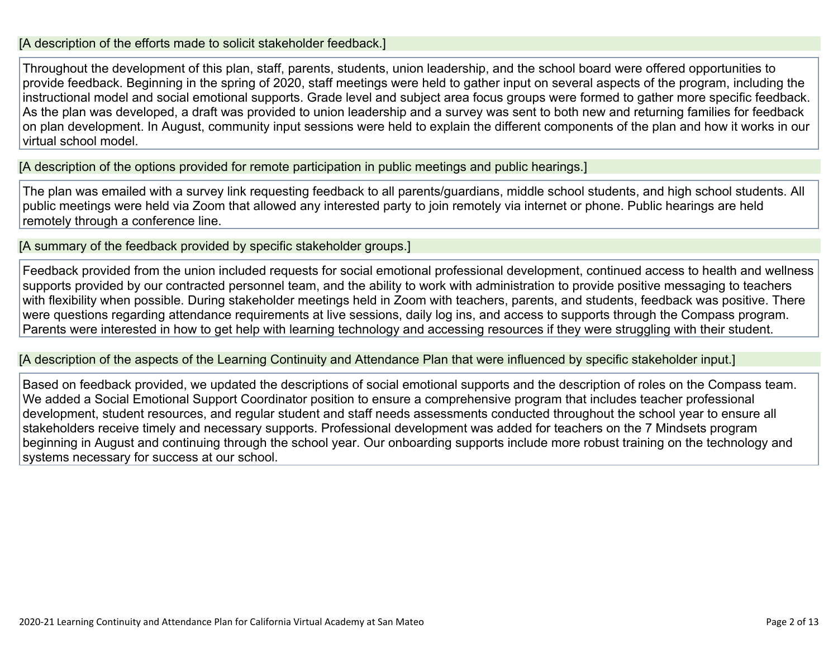#### [A description of the efforts made to solicit stakeholder feedback.]

Throughout the development of this plan, staff, parents, students, union leadership, and the school board were offered opportunities to provide feedback. Beginning in the spring of 2020, staff meetings were held to gather input on several aspects of the program, including the instructional model and social emotional supports. Grade level and subject area focus groups were formed to gather more specific feedback. As the plan was developed, a draft was provided to union leadership and a survey was sent to both new and returning families for feedback on plan development. In August, community input sessions were held to explain the different components of the plan and how it works in our virtual school model.

[A description of the options provided for remote participation in public meetings and public hearings.]

The plan was emailed with a survey link requesting feedback to all parents/guardians, middle school students, and high school students. All public meetings were held via Zoom that allowed any interested party to join remotely via internet or phone. Public hearings are held remotely through a conference line.

[A summary of the feedback provided by specific stakeholder groups.]

Feedback provided from the union included requests for social emotional professional development, continued access to health and wellness supports provided by our contracted personnel team, and the ability to work with administration to provide positive messaging to teachers with flexibility when possible. During stakeholder meetings held in Zoom with teachers, parents, and students, feedback was positive. There were questions regarding attendance requirements at live sessions, daily log ins, and access to supports through the Compass program. Parents were interested in how to get help with learning technology and accessing resources if they were struggling with their student.

[A description of the aspects of the Learning Continuity and Attendance Plan that were influenced by specific stakeholder input.]

Based on feedback provided, we updated the descriptions of social emotional supports and the description of roles on the Compass team. We added a Social Emotional Support Coordinator position to ensure a comprehensive program that includes teacher professional development, student resources, and regular student and staff needs assessments conducted throughout the school year to ensure all stakeholders receive timely and necessary supports. Professional development was added for teachers on the 7 Mindsets program beginning in August and continuing through the school year. Our onboarding supports include more robust training on the technology and systems necessary for success at our school.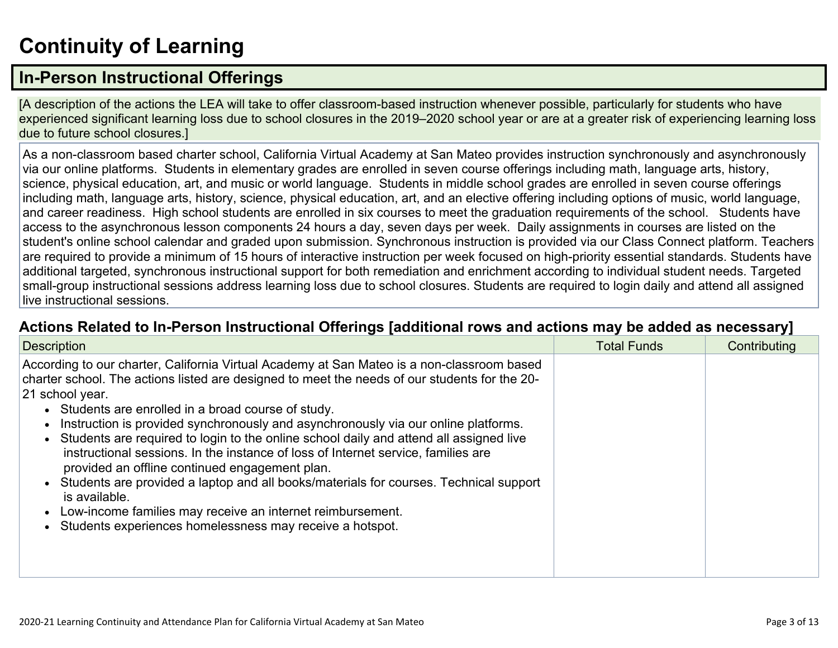# **[Continuity](http://www.doc-tracking.com/screenshots/20LCP/Instructions/20LCPInstructions.htm#ContinuityofLearning) of Learnin[g](http://www.doc-tracking.com/screenshots/20LCP/Instructions/20LCPInstructions.htm#ContinuityofLearning)**

### **In-Person [Instructional](http://www.doc-tracking.com/screenshots/20LCP/Instructions/20LCPInstructions.htm#ContinuityofLearning1) Offerings**

[A description of the actions the LEA will take to offer classroom-based instruction whenever possible, particularly for students who have experienced significant learning loss due to school closures in the 2019–2020 school year or are at a greater risk of experiencing learning loss due to future school closures.]

As a non-classroom based charter school, California Virtual Academy at San Mateo provides instruction synchronously and asynchronously via our online platforms. Students in elementary grades are enrolled in seven course offerings including math, language arts, history, science, physical education, art, and music or world language. Students in middle school grades are enrolled in seven course offerings including math, language arts, history, science, physical education, art, and an elective offering including options of music, world language, and career readiness. High school students are enrolled in six courses to meet the graduation requirements of the school. Students have access to the asynchronous lesson components 24 hours a day, seven days per week. Daily assignments in courses are listed on the student's online school calendar and graded upon submission. Synchronous instruction is provided via our Class Connect platform. Teachers are required to provide a minimum of 15 hours of interactive instruction per week focused on high-priority essential standards. Students have additional targeted, synchronous instructional support for both remediation and enrichment according to individual student needs. Targeted small-group instructional sessions address learning loss due to school closures. Students are required to login daily and attend all assigned live instructional sessions.

#### **Actions Related to In-Person [Instructional](http://www.doc-tracking.com/screenshots/20LCP/Instructions/20LCPInstructions.htm#ContinuityofLearning2) Offerings [additional rows and actions may be added as necessary]**

| <b>Description</b>                                                                                                                                                                                                                                                                                                                                                                                                                                                                                                                                                                                                                                                                                                                                                                                                               | <b>Total Funds</b> | Contributing |
|----------------------------------------------------------------------------------------------------------------------------------------------------------------------------------------------------------------------------------------------------------------------------------------------------------------------------------------------------------------------------------------------------------------------------------------------------------------------------------------------------------------------------------------------------------------------------------------------------------------------------------------------------------------------------------------------------------------------------------------------------------------------------------------------------------------------------------|--------------------|--------------|
| According to our charter, California Virtual Academy at San Mateo is a non-classroom based<br>charter school. The actions listed are designed to meet the needs of our students for the 20-<br>21 school year.<br>• Students are enrolled in a broad course of study.<br>Instruction is provided synchronously and asynchronously via our online platforms.<br>Students are required to login to the online school daily and attend all assigned live<br>instructional sessions. In the instance of loss of Internet service, families are<br>provided an offline continued engagement plan.<br>Students are provided a laptop and all books/materials for courses. Technical support<br>is available.<br>Low-income families may receive an internet reimbursement.<br>Students experiences homelessness may receive a hotspot. |                    |              |
|                                                                                                                                                                                                                                                                                                                                                                                                                                                                                                                                                                                                                                                                                                                                                                                                                                  |                    |              |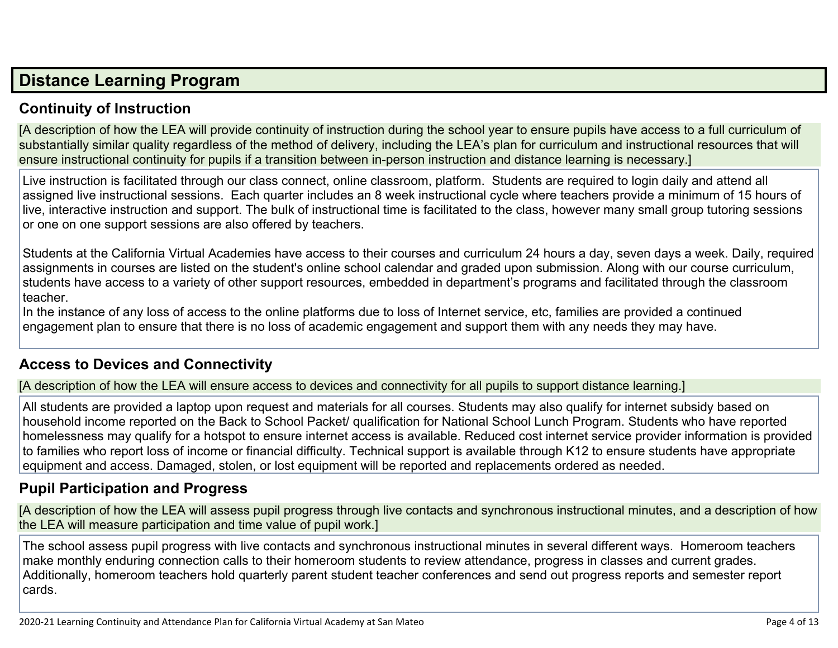### **Distance [Learning](http://www.doc-tracking.com/screenshots/20LCP/Instructions/20LCPInstructions.htm#DistanceLearningProgram) Program**

#### **Continuity of [Instruction](http://www.doc-tracking.com/screenshots/20LCP/Instructions/20LCPInstructions.htm#DistanceLearningProgram1)**

[A description of how the LEA will provide continuity of instruction during the school year to ensure pupils have access to a full curriculum of substantially similar quality regardless of the method of delivery, including the LEA's plan for curriculum and instructional resources that will ensure instructional continuity for pupils if a transition between in-person instruction and distance learning is necessary.]

Live instruction is facilitated through our class connect, online classroom, platform. Students are required to login daily and attend all assigned live instructional sessions. Each quarter includes an 8 week instructional cycle where teachers provide a minimum of 15 hours of live, interactive instruction and support. The bulk of instructional time is facilitated to the class, however many small group tutoring sessions or one on one support sessions are also offered by teachers.

Students at the California Virtual Academies have access to their courses and curriculum 24 hours a day, seven days a week. Daily, required assignments in courses are listed on the student's online school calendar and graded upon submission. Along with our course curriculum, students have access to a variety of other support resources, embedded in department's programs and facilitated through the classroom teacher.

In the instance of any loss of access to the online platforms due to loss of Internet service, etc, families are provided a continued engagement plan to ensure that there is no loss of academic engagement and support them with any needs they may have.

#### **Access to Devices and [Connectivity](http://www.doc-tracking.com/screenshots/20LCP/Instructions/20LCPInstructions.htm#DistanceLearningProgram2)**

[A description of how the LEA will ensure access to devices and connectivity for all pupils to support distance learning.]

All students are provided a laptop upon request and materials for all courses. Students may also qualify for internet subsidy based on household income reported on the Back to School Packet/ qualification for National School Lunch Program. Students who have reported homelessness may qualify for a hotspot to ensure internet access is available. Reduced cost internet service provider information is provided to families who report loss of income or financial difficulty. Technical support is available through K12 to ensure students have appropriate equipment and access. Damaged, stolen, or lost equipment will be reported and replacements ordered as needed.

#### **Pupil [Participation](http://www.doc-tracking.com/screenshots/20LCP/Instructions/20LCPInstructions.htm#DistanceLearningProgram3) and Progress**

[A description of how the LEA will assess pupil progress through live contacts and synchronous instructional minutes, and a description of how the LEA will measure participation and time value of pupil work.]

The school assess pupil progress with live contacts and synchronous instructional minutes in several different ways. Homeroom teachers make monthly enduring connection calls to their homeroom students to review attendance, progress in classes and current grades. Additionally, homeroom teachers hold quarterly parent student teacher conferences and send out progress reports and semester report cards.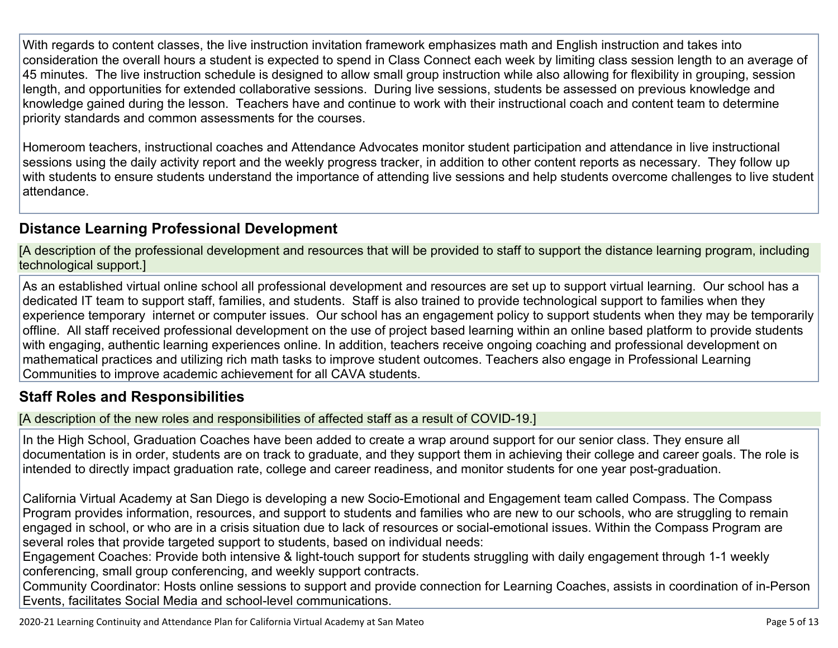With regards to content classes, the live instruction invitation framework emphasizes math and English instruction and takes into consideration the overall hours a student is expected to spend in Class Connect each week by limiting class session length to an average of 45 minutes. The live instruction schedule is designed to allow small group instruction while also allowing for flexibility in grouping, session length, and opportunities for extended collaborative sessions. During live sessions, students be assessed on previous knowledge and knowledge gained during the lesson. Teachers have and continue to work with their instructional coach and content team to determine priority standards and common assessments for the courses.

Homeroom teachers, instructional coaches and Attendance Advocates monitor student participation and attendance in live instructional sessions using the daily activity report and the weekly progress tracker, in addition to other content reports as necessary. They follow up with students to ensure students understand the importance of attending live sessions and help students overcome challenges to live student attendance.

#### **Distance Learning Professional [Development](http://www.doc-tracking.com/screenshots/20LCP/Instructions/20LCPInstructions.htm#DistanceLearningProgram4)**

[A description of the professional development and resources that will be provided to staff to support the distance learning program, including technological support.]

As an established virtual online school all professional development and resources are set up to support virtual learning. Our school has a dedicated IT team to support staff, families, and students. Staff is also trained to provide technological support to families when they experience temporary internet or computer issues. Our school has an engagement policy to support students when they may be temporarily offline. All staff received professional development on the use of project based learning within an online based platform to provide students with engaging, authentic learning experiences online. In addition, teachers receive ongoing coaching and professional development on mathematical practices and utilizing rich math tasks to improve student outcomes. Teachers also engage in Professional Learning Communities to improve academic achievement for all CAVA students.

#### **Staff Roles and [Responsibilities](http://www.doc-tracking.com/screenshots/20LCP/Instructions/20LCPInstructions.htm#DistanceLearningProgram5)**

[A description of the new roles and responsibilities of affected staff as a result of COVID-19.]

In the High School, Graduation Coaches have been added to create a wrap around support for our senior class. They ensure all documentation is in order, students are on track to graduate, and they support them in achieving their college and career goals. The role is intended to directly impact graduation rate, college and career readiness, and monitor students for one year post-graduation.

California Virtual Academy at San Diego is developing a new Socio-Emotional and Engagement team called Compass. The Compass Program provides information, resources, and support to students and families who are new to our schools, who are struggling to remain engaged in school, or who are in a crisis situation due to lack of resources or social-emotional issues. Within the Compass Program are several roles that provide targeted support to students, based on individual needs:

Engagement Coaches: Provide both intensive & light-touch support for students struggling with daily engagement through 1-1 weekly conferencing, small group conferencing, and weekly support contracts.

Community Coordinator: Hosts online sessions to support and provide connection for Learning Coaches, assists in coordination of in-Person Events, facilitates Social Media and school-level communications.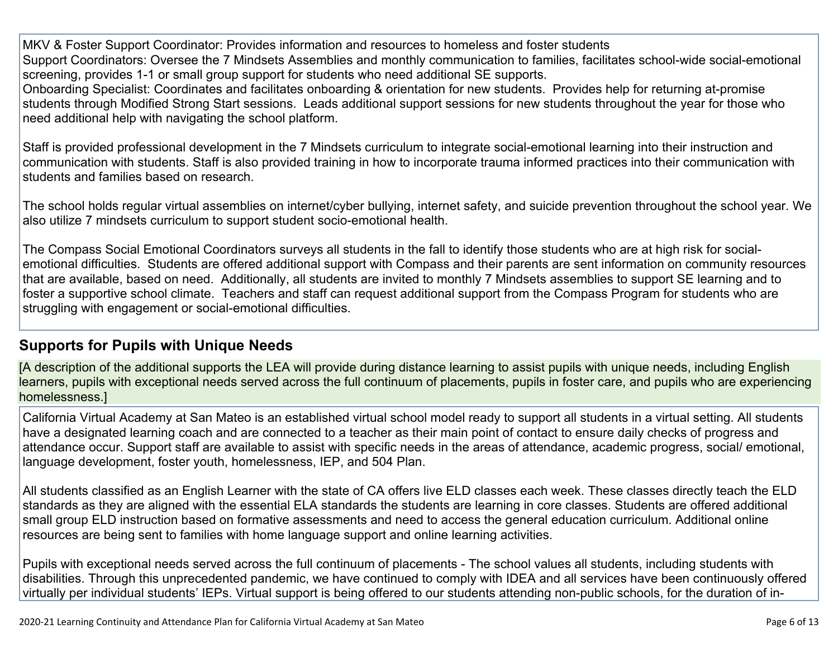MKV & Foster Support Coordinator: Provides information and resources to homeless and foster students Support Coordinators: Oversee the 7 Mindsets Assemblies and monthly communication to families, facilitates school-wide social-emotional screening, provides 1-1 or small group support for students who need additional SE supports.

Onboarding Specialist: Coordinates and facilitates onboarding & orientation for new students. Provides help for returning at-promise students through Modified Strong Start sessions. Leads additional support sessions for new students throughout the year for those who need additional help with navigating the school platform.

Staff is provided professional development in the 7 Mindsets curriculum to integrate social-emotional learning into their instruction and communication with students. Staff is also provided training in how to incorporate trauma informed practices into their communication with students and families based on research.

The school holds regular virtual assemblies on internet/cyber bullying, internet safety, and suicide prevention throughout the school year. We also utilize 7 mindsets curriculum to support student socio-emotional health.

The Compass Social Emotional Coordinators surveys all students in the fall to identify those students who are at high risk for socialemotional difficulties. Students are offered additional support with Compass and their parents are sent information on community resources that are available, based on need. Additionally, all students are invited to monthly 7 Mindsets assemblies to support SE learning and to foster a supportive school climate. Teachers and staff can request additional support from the Compass Program for students who are struggling with engagement or social-emotional difficulties.

#### **[Supports](http://www.doc-tracking.com/screenshots/20LCP/Instructions/20LCPInstructions.htm#DistanceLearningProgram6) for Pupils with Unique Needs**

[A description of the additional supports the LEA will provide during distance learning to assist pupils with unique needs, including English learners, pupils with exceptional needs served across the full continuum of placements, pupils in foster care, and pupils who are experiencing homelessness.]

California Virtual Academy at San Mateo is an established virtual school model ready to support all students in a virtual setting. All students have a designated learning coach and are connected to a teacher as their main point of contact to ensure daily checks of progress and attendance occur. Support staff are available to assist with specific needs in the areas of attendance, academic progress, social/ emotional, language development, foster youth, homelessness, IEP, and 504 Plan.

All students classified as an English Learner with the state of CA offers live ELD classes each week. These classes directly teach the ELD standards as they are aligned with the essential ELA standards the students are learning in core classes. Students are offered additional small group ELD instruction based on formative assessments and need to access the general education curriculum. Additional online resources are being sent to families with home language support and online learning activities.

Pupils with exceptional needs served across the full continuum of placements - The school values all students, including students with disabilities. Through this unprecedented pandemic, we have continued to comply with IDEA and all services have been continuously offered virtually per individual students' IEPs. Virtual support is being offered to our students attending non-public schools, for the duration of in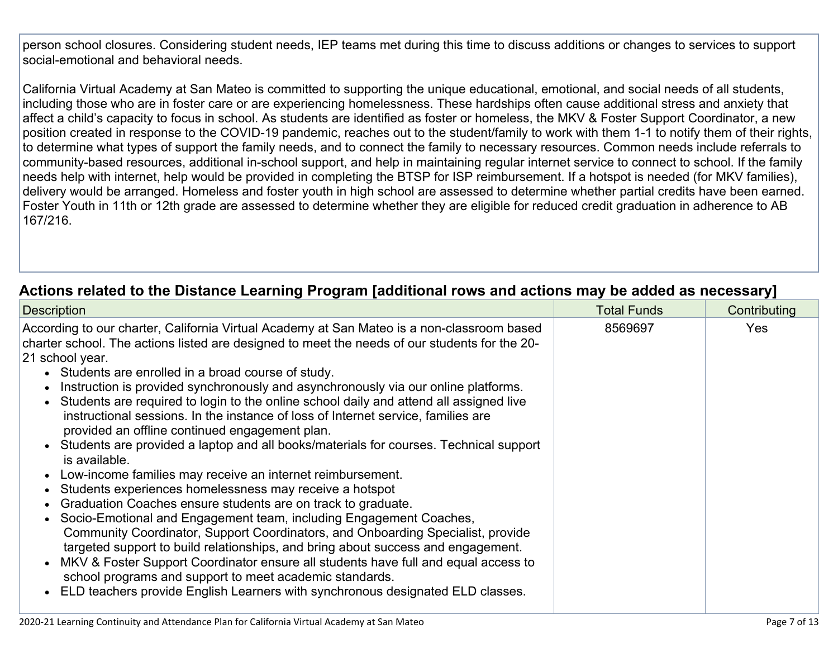person school closures. Considering student needs, IEP teams met during this time to discuss additions or changes to services to support social-emotional and behavioral needs.

California Virtual Academy at San Mateo is committed to supporting the unique educational, emotional, and social needs of all students, including those who are in foster care or are experiencing homelessness. These hardships often cause additional stress and anxiety that affect a child's capacity to focus in school. As students are identified as foster or homeless, the MKV & Foster Support Coordinator, a new position created in response to the COVID-19 pandemic, reaches out to the student/family to work with them 1-1 to notify them of their rights, to determine what types of support the family needs, and to connect the family to necessary resources. Common needs include referrals to community-based resources, additional in-school support, and help in maintaining regular internet service to connect to school. If the family needs help with internet, help would be provided in completing the BTSP for ISP reimbursement. If a hotspot is needed (for MKV families), delivery would be arranged. Homeless and foster youth in high school are assessed to determine whether partial credits have been earned. Foster Youth in 11th or 12th grade are assessed to determine whether they are eligible for reduced credit graduation in adherence to AB 167/216.

#### **Actions related to the Distance Learning Program [additional rows and actions may be added as [necessary\]](http://www.doc-tracking.com/screenshots/20LCP/Instructions/20LCPInstructions.htm#DistanceLearningProgram7)**

| <b>Description</b>                                                                                                                                                                                                                                                                                                                                                                                                                                                                                                                                                                                                                                                                                                                                                                                                                                                                                                                                                                                                                                                                                                                                                                                                                                                                                                                                                                | <b>Total Funds</b> | Contributing |
|-----------------------------------------------------------------------------------------------------------------------------------------------------------------------------------------------------------------------------------------------------------------------------------------------------------------------------------------------------------------------------------------------------------------------------------------------------------------------------------------------------------------------------------------------------------------------------------------------------------------------------------------------------------------------------------------------------------------------------------------------------------------------------------------------------------------------------------------------------------------------------------------------------------------------------------------------------------------------------------------------------------------------------------------------------------------------------------------------------------------------------------------------------------------------------------------------------------------------------------------------------------------------------------------------------------------------------------------------------------------------------------|--------------------|--------------|
| According to our charter, California Virtual Academy at San Mateo is a non-classroom based<br>charter school. The actions listed are designed to meet the needs of our students for the 20-<br>21 school year.<br>• Students are enrolled in a broad course of study.<br>Instruction is provided synchronously and asynchronously via our online platforms.<br>Students are required to login to the online school daily and attend all assigned live<br>instructional sessions. In the instance of loss of Internet service, families are<br>provided an offline continued engagement plan.<br>• Students are provided a laptop and all books/materials for courses. Technical support<br>is available.<br>Low-income families may receive an internet reimbursement.<br>Students experiences homelessness may receive a hotspot<br>Graduation Coaches ensure students are on track to graduate.<br>Socio-Emotional and Engagement team, including Engagement Coaches,<br>Community Coordinator, Support Coordinators, and Onboarding Specialist, provide<br>targeted support to build relationships, and bring about success and engagement.<br>MKV & Foster Support Coordinator ensure all students have full and equal access to<br>school programs and support to meet academic standards.<br>ELD teachers provide English Learners with synchronous designated ELD classes. | 8569697            | Yes          |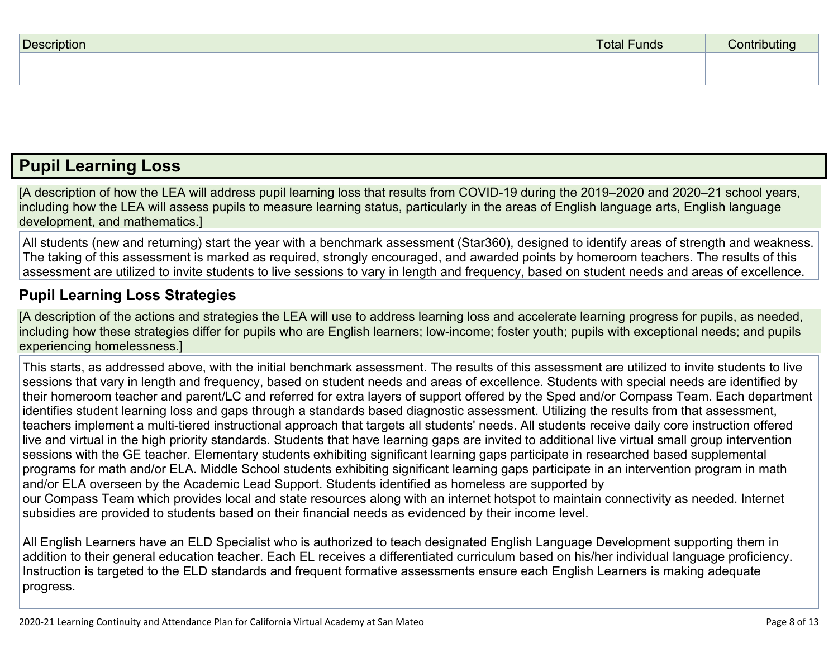| <b>Description</b> | <b>Total Funds</b> | ∴∩ntrihi i |
|--------------------|--------------------|------------|
|                    |                    |            |
|                    |                    |            |

### **Pupil [Learning](http://www.doc-tracking.com/screenshots/20LCP/Instructions/20LCPInstructions.htm#PupilLearningLoss) Loss**

[A description of how the LEA will address pupil learning loss that results from COVID-19 during the 2019–2020 and 2020–21 school years, including how the LEA will assess pupils to measure learning status, particularly in the areas of English language arts, English language development, and mathematics.]

All students (new and returning) start the year with a benchmark assessment (Star360), designed to identify areas of strength and weakness. The taking of this assessment is marked as required, strongly encouraged, and awarded points by homeroom teachers. The results of this assessment are utilized to invite students to live sessions to vary in length and frequency, based on student needs and areas of excellence.

#### **Pupil Learning Loss [Strategies](http://www.doc-tracking.com/screenshots/20LCP/Instructions/20LCPInstructions.htm#PupilLearningLoss1)**

[A description of the actions and strategies the LEA will use to address learning loss and accelerate learning progress for pupils, as needed, including how these strategies differ for pupils who are English learners; low-income; foster youth; pupils with exceptional needs; and pupils experiencing homelessness.]

This starts, as addressed above, with the initial benchmark assessment. The results of this assessment are utilized to invite students to live sessions that vary in length and frequency, based on student needs and areas of excellence. Students with special needs are identified by their homeroom teacher and parent/LC and referred for extra layers of support offered by the Sped and/or Compass Team. Each department identifies student learning loss and gaps through a standards based diagnostic assessment. Utilizing the results from that assessment, teachers implement a multi-tiered instructional approach that targets all students' needs. All students receive daily core instruction offered live and virtual in the high priority standards. Students that have learning gaps are invited to additional live virtual small group intervention sessions with the GE teacher. Elementary students exhibiting significant learning gaps participate in researched based supplemental programs for math and/or ELA. Middle School students exhibiting significant learning gaps participate in an intervention program in math and/or ELA overseen by the Academic Lead Support. Students identified as homeless are supported by our Compass Team which provides local and state resources along with an internet hotspot to maintain connectivity as needed. Internet subsidies are provided to students based on their financial needs as evidenced by their income level.

All English Learners have an ELD Specialist who is authorized to teach designated English Language Development supporting them in addition to their general education teacher. Each EL receives a differentiated curriculum based on his/her individual language proficiency. Instruction is targeted to the ELD standards and frequent formative assessments ensure each English Learners is making adequate progress.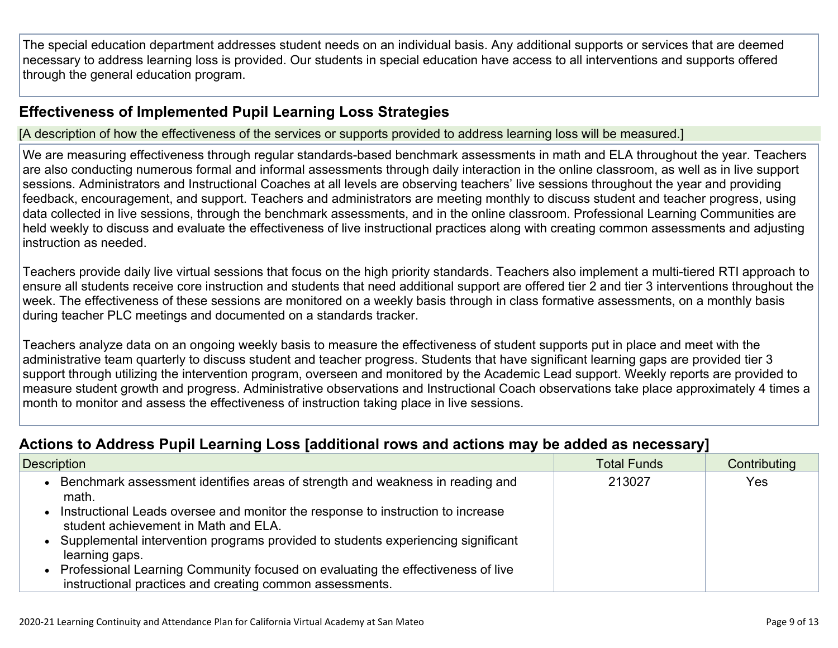The special education department addresses student needs on an individual basis. Any additional supports or services that are deemed necessary to address learning loss is provided. Our students in special education have access to all interventions and supports offered through the general education program.

#### **[Effectiveness](http://www.doc-tracking.com/screenshots/20LCP/Instructions/20LCPInstructions.htm#PupilLearningLoss2) of Implemented Pupil Learning Loss Strategies**

[A description of how the effectiveness of the services or supports provided to address learning loss will be measured.]

We are measuring effectiveness through regular standards-based benchmark assessments in math and ELA throughout the year. Teachers are also conducting numerous formal and informal assessments through daily interaction in the online classroom, as well as in live support sessions. Administrators and Instructional Coaches at all levels are observing teachers' live sessions throughout the year and providing feedback, encouragement, and support. Teachers and administrators are meeting monthly to discuss student and teacher progress, using data collected in live sessions, through the benchmark assessments, and in the online classroom. Professional Learning Communities are held weekly to discuss and evaluate the effectiveness of live instructional practices along with creating common assessments and adjusting instruction as needed.

Teachers provide daily live virtual sessions that focus on the high priority standards. Teachers also implement a multi-tiered RTI approach to ensure all students receive core instruction and students that need additional support are offered tier 2 and tier 3 interventions throughout the week. The effectiveness of these sessions are monitored on a weekly basis through in class formative assessments, on a monthly basis during teacher PLC meetings and documented on a standards tracker.

Teachers analyze data on an ongoing weekly basis to measure the effectiveness of student supports put in place and meet with the administrative team quarterly to discuss student and teacher progress. Students that have significant learning gaps are provided tier 3 support through utilizing the intervention program, overseen and monitored by the Academic Lead support. Weekly reports are provided to measure student growth and progress. Administrative observations and Instructional Coach observations take place approximately 4 times a month to monitor and assess the effectiveness of instruction taking place in live sessions.

#### **Actions to Address Pupil Learning Loss [additional rows and actions may be added as [necessary\]](http://www.doc-tracking.com/screenshots/20LCP/Instructions/20LCPInstructions.htm#PupilLearningLoss4)**

| <b>Description</b>                                                                                                                            | <b>Total Funds</b> | Contributing |
|-----------------------------------------------------------------------------------------------------------------------------------------------|--------------------|--------------|
| Benchmark assessment identifies areas of strength and weakness in reading and<br>math.                                                        | 213027             | Yes          |
| Instructional Leads oversee and monitor the response to instruction to increase<br>student achievement in Math and ELA.                       |                    |              |
| • Supplemental intervention programs provided to students experiencing significant<br>learning gaps.                                          |                    |              |
| • Professional Learning Community focused on evaluating the effectiveness of live<br>instructional practices and creating common assessments. |                    |              |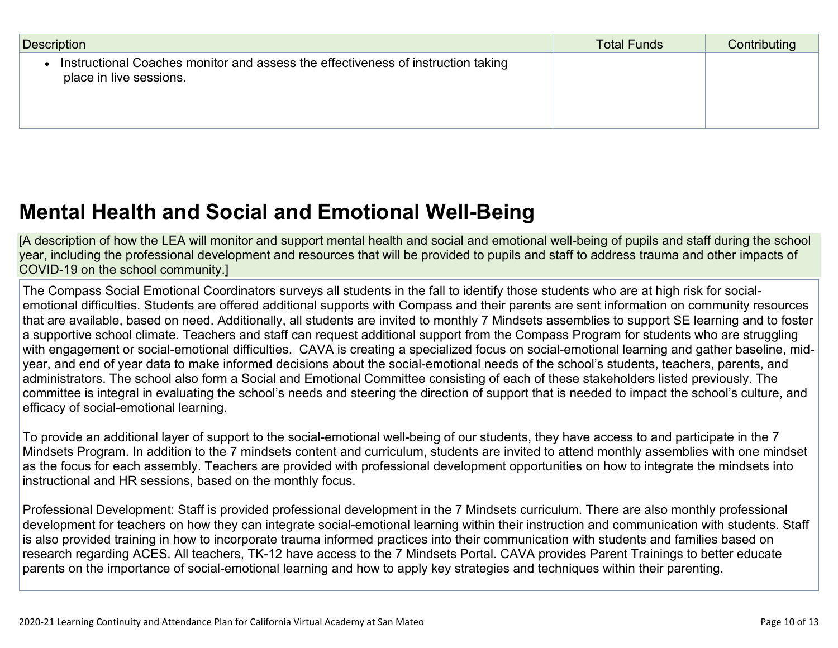| Description                                                                                                 | <b>Total Funds</b> | Contributing |
|-------------------------------------------------------------------------------------------------------------|--------------------|--------------|
| Instructional Coaches monitor and assess the effectiveness of instruction taking<br>place in live sessions. |                    |              |

## **Mental Health and Social and Emotional [Well-Being](http://www.doc-tracking.com/screenshots/20LCP/Instructions/20LCPInstructions.htm#MentalHealthandSocialandEmotional)**

[A description of how the LEA will monitor and support mental health and social and emotional well-being of pupils and staff during the school year, including the professional development and resources that will be provided to pupils and staff to address trauma and other impacts of COVID-19 on the school community.]

The Compass Social Emotional Coordinators surveys all students in the fall to identify those students who are at high risk for socialemotional difficulties. Students are offered additional supports with Compass and their parents are sent information on community resources that are available, based on need. Additionally, all students are invited to monthly 7 Mindsets assemblies to support SE learning and to foster a supportive school climate. Teachers and staff can request additional support from the Compass Program for students who are struggling with engagement or social-emotional difficulties. CAVA is creating a specialized focus on social-emotional learning and gather baseline, midyear, and end of year data to make informed decisions about the social-emotional needs of the school's students, teachers, parents, and administrators. The school also form a Social and Emotional Committee consisting of each of these stakeholders listed previously. The committee is integral in evaluating the school's needs and steering the direction of support that is needed to impact the school's culture, and efficacy of social-emotional learning.

To provide an additional layer of support to the social-emotional well-being of our students, they have access to and participate in the 7 Mindsets Program. In addition to the 7 mindsets content and curriculum, students are invited to attend monthly assemblies with one mindset as the focus for each assembly. Teachers are provided with professional development opportunities on how to integrate the mindsets into instructional and HR sessions, based on the monthly focus.

Professional Development: Staff is provided professional development in the 7 Mindsets curriculum. There are also monthly professional development for teachers on how they can integrate social-emotional learning within their instruction and communication with students. Staff is also provided training in how to incorporate trauma informed practices into their communication with students and families based on research regarding ACES. All teachers, TK-12 have access to the 7 Mindsets Portal. CAVA provides Parent Trainings to better educate parents on the importance of social-emotional learning and how to apply key strategies and techniques within their parenting.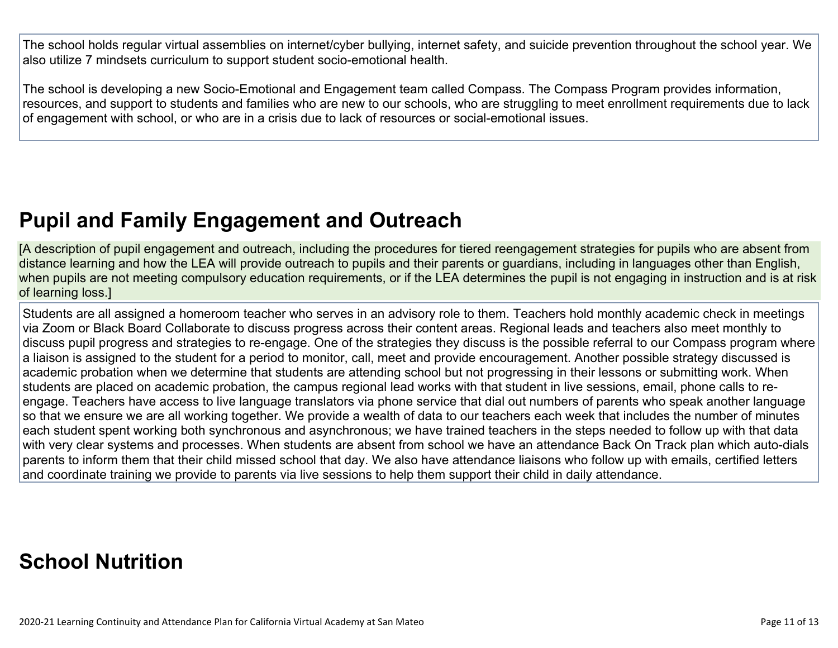The school holds regular virtual assemblies on internet/cyber bullying, internet safety, and suicide prevention throughout the school year. We also utilize 7 mindsets curriculum to support student socio-emotional health.

The school is developing a new Socio-Emotional and Engagement team called Compass. The Compass Program provides information, resources, and support to students and families who are new to our schools, who are struggling to meet enrollment requirements due to lack of engagement with school, or who are in a crisis due to lack of resources or social-emotional issues.

# **Pupil and Family [Engagement](http://www.doc-tracking.com/screenshots/20LCP/Instructions/20LCPInstructions.htm#PupilEngagementandOutreach) and Outreach**

[A description of pupil engagement and outreach, including the procedures for tiered reengagement strategies for pupils who are absent from distance learning and how the LEA will provide outreach to pupils and their parents or guardians, including in languages other than English, when pupils are not meeting compulsory education requirements, or if the LEA determines the pupil is not engaging in instruction and is at risk of learning loss.]

Students are all assigned a homeroom teacher who serves in an advisory role to them. Teachers hold monthly academic check in meetings via Zoom or Black Board Collaborate to discuss progress across their content areas. Regional leads and teachers also meet monthly to discuss pupil progress and strategies to re-engage. One of the strategies they discuss is the possible referral to our Compass program where a liaison is assigned to the student for a period to monitor, call, meet and provide encouragement. Another possible strategy discussed is academic probation when we determine that students are attending school but not progressing in their lessons or submitting work. When students are placed on academic probation, the campus regional lead works with that student in live sessions, email, phone calls to reengage. Teachers have access to live language translators via phone service that dial out numbers of parents who speak another language so that we ensure we are all working together. We provide a wealth of data to our teachers each week that includes the number of minutes each student spent working both synchronous and asynchronous; we have trained teachers in the steps needed to follow up with that data with very clear systems and processes. When students are absent from school we have an attendance Back On Track plan which auto-dials parents to inform them that their child missed school that day. We also have attendance liaisons who follow up with emails, certified letters and coordinate training we provide to parents via live sessions to help them support their child in daily attendance.

### **School [Nutrition](http://www.doc-tracking.com/screenshots/20LCP/Instructions/20LCPInstructions.htm#SchoolNutrition)**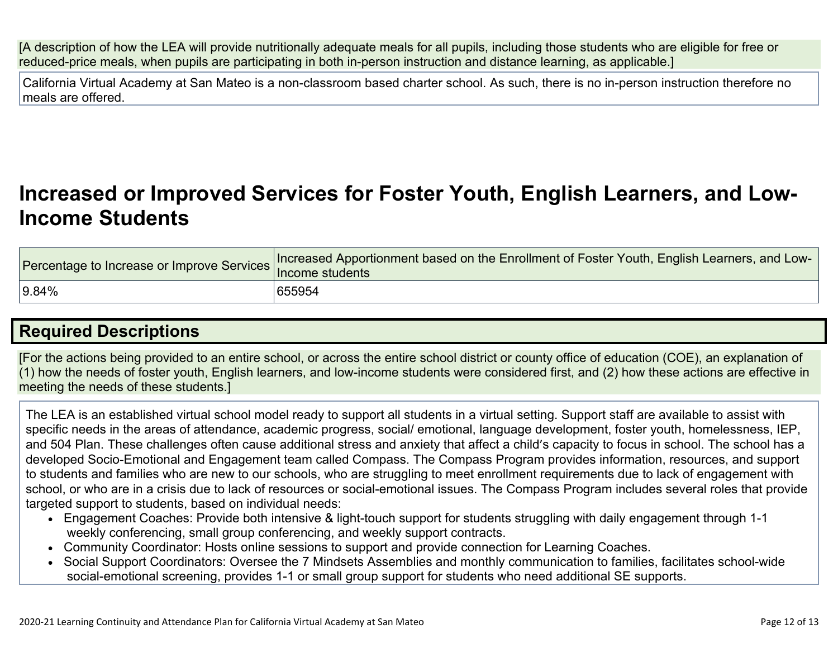[A description of how the LEA will provide nutritionally adequate meals for all pupils, including those students who are eligible for free or reduced-price meals, when pupils are participating in both in-person instruction and distance learning, as applicable.]

California Virtual Academy at San Mateo is a non-classroom based charter school. As such, there is no in-person instruction therefore no meals are offered.

# **[Increased](http://www.doc-tracking.com/screenshots/20LCP/Instructions/20LCPInstructions.htm#IncreasedorImprovedServices) or Improved Services for Foster Youth, English Learners, and Low-Income [Students](http://www.doc-tracking.com/screenshots/20LCP/Instructions/20LCPInstructions.htm#IncreasedorImprovedServices)**

|       | Percentage to Increase or Improve Services Increased Apportionment based on the Enrollment of Foster Youth, English Learners, and Low- |
|-------|----------------------------------------------------------------------------------------------------------------------------------------|
| 9.84% | 655954                                                                                                                                 |

### **Required [Descriptions](http://www.doc-tracking.com/screenshots/20LCP/Instructions/20LCPInstructions.htm#RequiredDescriptions)**

[For the actions being provided to an entire school, or across the entire school district or county office of education (COE), an explanation of (1) how the needs of foster youth, English learners, and low-income students were considered first, and (2) how these actions are effective in meeting the needs of these students.]

The LEA is an established virtual school model ready to support all students in a virtual setting. Support staff are available to assist with specific needs in the areas of attendance, academic progress, social/ emotional, language development, foster youth, homelessness, IEP, and 504 Plan. These challenges often cause additional stress and anxiety that affect a child's capacity to focus in school. The school has a developed Socio-Emotional and Engagement team called Compass. The Compass Program provides information, resources, and support to students and families who are new to our schools, who are struggling to meet enrollment requirements due to lack of engagement with school, or who are in a crisis due to lack of resources or social-emotional issues. The Compass Program includes several roles that provide targeted support to students, based on individual needs:

- Engagement Coaches: Provide both intensive & light-touch support for students struggling with daily engagement through 1-1 weekly conferencing, small group conferencing, and weekly support contracts.
- Community Coordinator: Hosts online sessions to support and provide connection for Learning Coaches.
- Social Support Coordinators: Oversee the 7 Mindsets Assemblies and monthly communication to families, facilitates school-wide social-emotional screening, provides 1-1 or small group support for students who need additional SE supports.